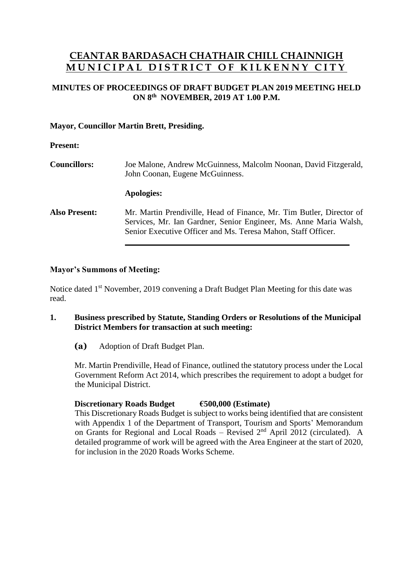# **CEANTAR BARDASACH CHATHAIR CHILL CHAINNIGH MUNICIPAL DISTRICT OF KILKENNY CITY**

# **MINUTES OF PROCEEDINGS OF DRAFT BUDGET PLAN 2019 MEETING HELD ON 8 th NOVEMBER, 2019 AT 1.00 P.M.**

## **Mayor, Councillor Martin Brett, Presiding.**

#### **Present:**

| <b>Councillors:</b>  | Joe Malone, Andrew McGuinness, Malcolm Noonan, David Fitzgerald,<br>John Coonan, Eugene McGuinness.                                                                                                        |
|----------------------|------------------------------------------------------------------------------------------------------------------------------------------------------------------------------------------------------------|
|                      | Apologies:                                                                                                                                                                                                 |
| <b>Also Present:</b> | Mr. Martin Prendiville, Head of Finance, Mr. Tim Butler, Director of<br>Services, Mr. Ian Gardner, Senior Engineer, Ms. Anne Maria Walsh,<br>Senior Executive Officer and Ms. Teresa Mahon, Staff Officer. |

#### **Mayor's Summons of Meeting:**

Notice dated 1<sup>st</sup> November, 2019 convening a Draft Budget Plan Meeting for this date was read.

### **1. Business prescribed by Statute, Standing Orders or Resolutions of the Municipal District Members for transaction at such meeting:**

**(a)** Adoption of Draft Budget Plan.

Mr. Martin Prendiville, Head of Finance, outlined the statutory process under the Local Government Reform Act 2014, which prescribes the requirement to adopt a budget for the Municipal District.

# **Discretionary Roads Budget €500,000 (Estimate)**

This Discretionary Roads Budget is subject to works being identified that are consistent with Appendix 1 of the Department of Transport, Tourism and Sports' Memorandum on Grants for Regional and Local Roads – Revised 2nd April 2012 (circulated). A detailed programme of work will be agreed with the Area Engineer at the start of 2020, for inclusion in the 2020 Roads Works Scheme.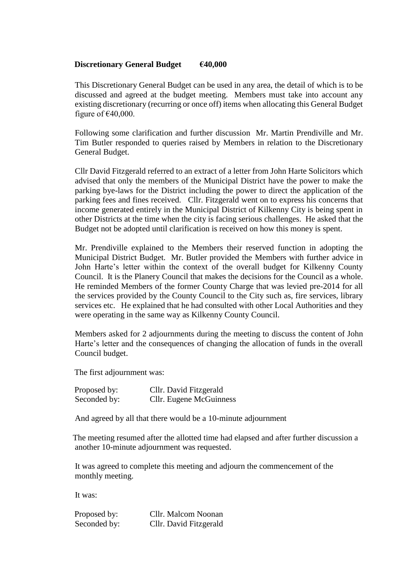#### **Discretionary General Budget €40,000**

This Discretionary General Budget can be used in any area, the detail of which is to be discussed and agreed at the budget meeting. Members must take into account any existing discretionary (recurring or once off) items when allocating this General Budget figure of  $\text{\textsterling}40,000$ .

 Following some clarification and further discussion Mr. Martin Prendiville and Mr. Tim Butler responded to queries raised by Members in relation to the Discretionary General Budget.

 Cllr David Fitzgerald referred to an extract of a letter from John Harte Solicitors which advised that only the members of the Municipal District have the power to make the parking bye-laws for the District including the power to direct the application of the parking fees and fines received. Cllr. Fitzgerald went on to express his concerns that income generated entirely in the Municipal District of Kilkenny City is being spent in other Districts at the time when the city is facing serious challenges. He asked that the Budget not be adopted until clarification is received on how this money is spent.

 Mr. Prendiville explained to the Members their reserved function in adopting the Municipal District Budget. Mr. Butler provided the Members with further advice in John Harte's letter within the context of the overall budget for Kilkenny County Council. It is the Planery Council that makes the decisions for the Council as a whole. He reminded Members of the former County Charge that was levied pre-2014 for all the services provided by the County Council to the City such as, fire services, library services etc. He explained that he had consulted with other Local Authorities and they were operating in the same way as Kilkenny County Council.

 Members asked for 2 adjournments during the meeting to discuss the content of John Harte's letter and the consequences of changing the allocation of funds in the overall Council budget.

The first adjournment was:

| Proposed by: | Cllr. David Fitzgerald  |
|--------------|-------------------------|
| Seconded by: | Cllr. Eugene McGuinness |

And agreed by all that there would be a 10-minute adjournment

 The meeting resumed after the allotted time had elapsed and after further discussion a another 10-minute adjournment was requested.

 It was agreed to complete this meeting and adjourn the commencement of the monthly meeting.

It was:

| Proposed by: | Cllr. Malcom Noonan    |
|--------------|------------------------|
| Seconded by: | Cllr. David Fitzgerald |